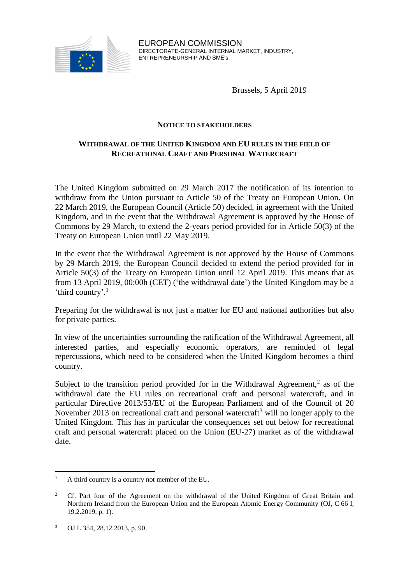

EUROPEAN COMMISSION DIRECTORATE-GENERAL INTERNAL MARKET, INDUSTRY, ENTREPRENEURSHIP AND SME's

Brussels, 5 April 2019

#### **NOTICE TO STAKEHOLDERS**

# **WITHDRAWAL OF THE UNITED KINGDOM AND EU RULES IN THE FIELD OF RECREATIONAL CRAFT AND PERSONAL WATERCRAFT**

The United Kingdom submitted on 29 March 2017 the notification of its intention to withdraw from the Union pursuant to Article 50 of the Treaty on European Union. On 22 March 2019, the European Council (Article 50) decided, in agreement with the United Kingdom, and in the event that the Withdrawal Agreement is approved by the House of Commons by 29 March, to extend the 2-years period provided for in Article 50(3) of the Treaty on European Union until 22 May 2019.

In the event that the Withdrawal Agreement is not approved by the House of Commons by 29 March 2019, the European Council decided to extend the period provided for in Article 50(3) of the Treaty on European Union until 12 April 2019. This means that as from 13 April 2019, 00:00h (CET) ('the withdrawal date') the United Kingdom may be a 'third country'.<sup>1</sup>

Preparing for the withdrawal is not just a matter for EU and national authorities but also for private parties.

In view of the uncertainties surrounding the ratification of the Withdrawal Agreement, all interested parties, and especially economic operators, are reminded of legal repercussions, which need to be considered when the United Kingdom becomes a third country.

Subject to the transition period provided for in the Withdrawal Agreement,<sup>2</sup> as of the withdrawal date the EU rules on recreational craft and personal watercraft, and in particular Directive 2013/53/EU of the European Parliament and of the Council of 20 November 2013 on recreational craft and personal watercraft<sup>3</sup> will no longer apply to the United Kingdom. This has in particular the consequences set out below for recreational craft and personal watercraft placed on the Union (EU-27) market as of the withdrawal date.

 $\overline{a}$ <sup>1</sup> A third country is a country not member of the EU.

<sup>2</sup> Cf. Part four of the Agreement on the withdrawal of the United Kingdom of Great Britain and Northern Ireland from the European Union and the European Atomic Energy Community (OJ, C 66 I, 19.2.2019, p. 1).

<sup>3</sup> OJ L 354, 28.12.2013, p. 90.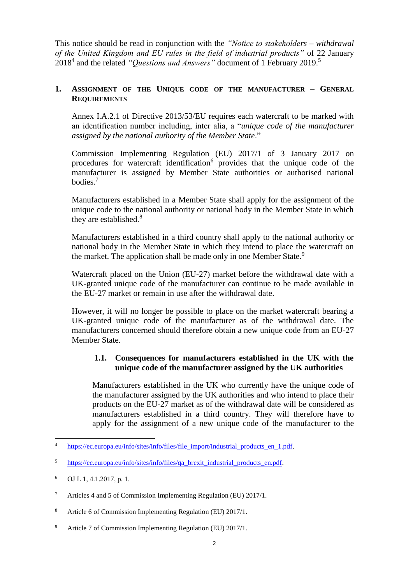This notice should be read in conjunction with the *"Notice to stakeholders – withdrawal of the United Kingdom and EU rules in the field of industrial products"* of 22 January 2018<sup>4</sup> and the related *"Questions and Answers"* document of 1 February 2019.<sup>5</sup>

## **1. ASSIGNMENT OF THE UNIQUE CODE OF THE MANUFACTURER – GENERAL REQUIREMENTS**

Annex I.A.2.1 of Directive 2013/53/EU requires each watercraft to be marked with an identification number including, inter alia, a "*unique code of the manufacturer assigned by the national authority of the Member State*."

Commission Implementing Regulation (EU) 2017/1 of 3 January 2017 on procedures for watercraft identification<sup>6</sup> provides that the unique code of the manufacturer is assigned by Member State authorities or authorised national bodies.<sup>7</sup>

Manufacturers established in a Member State shall apply for the assignment of the unique code to the national authority or national body in the Member State in which they are established.<sup>8</sup>

Manufacturers established in a third country shall apply to the national authority or national body in the Member State in which they intend to place the watercraft on the market. The application shall be made only in one Member State.<sup>9</sup>

Watercraft placed on the Union (EU-27) market before the withdrawal date with a UK-granted unique code of the manufacturer can continue to be made available in the EU-27 market or remain in use after the withdrawal date.

However, it will no longer be possible to place on the market watercraft bearing a UK-granted unique code of the manufacturer as of the withdrawal date. The manufacturers concerned should therefore obtain a new unique code from an EU-27 Member State.

## **1.1. Consequences for manufacturers established in the UK with the unique code of the manufacturer assigned by the UK authorities**

Manufacturers established in the UK who currently have the unique code of the manufacturer assigned by the UK authorities and who intend to place their products on the EU-27 market as of the withdrawal date will be considered as manufacturers established in a third country. They will therefore have to apply for the assignment of a new unique code of the manufacturer to the

 $\overline{4}$ [https://ec.europa.eu/info/sites/info/files/file\\_import/industrial\\_products\\_en\\_1.pdf.](https://ec.europa.eu/info/sites/info/files/file_import/industrial_products_en_1.pdf)

<sup>&</sup>lt;sup>5</sup> [https://ec.europa.eu/info/sites/info/files/qa\\_brexit\\_industrial\\_products\\_en.pdf.](https://ec.europa.eu/info/sites/info/files/qa_brexit_industrial_products_en.pdf)

 $^6$  OJ L 1, 4.1.2017, p. 1.

<sup>7</sup> Articles 4 and 5 of Commission Implementing Regulation (EU) 2017/1.

<sup>8</sup> Article 6 of Commission Implementing Regulation (EU) 2017/1.

<sup>9</sup> Article 7 of Commission Implementing Regulation (EU) 2017/1.